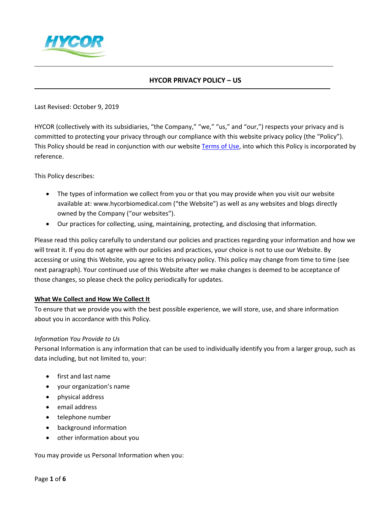

# **HYCOR PRIVACY POLICY – US**

Last Revised: October 9, 2019

HYCOR (collectively with its subsidiaries, "the Company," "we," "us," and "our,") respects your privacy and is committed to protecting your privacy through our compliance with this website privacy policy (the "Policy"). This Policy should be read in conjunction with our website [Terms of Use,](https://www.hycorbiomedical.com/sites/usa/terms-of-use/) into which this Policy is incorporated by reference.

This Policy describes:

- The types of information we collect from you or that you may provide when you visit our website available at: www.hycorbiomedical.com ("the Website") as well as any websites and blogs directly owned by the Company ("our websites").
- Our practices for collecting, using, maintaining, protecting, and disclosing that information.

Please read this policy carefully to understand our policies and practices regarding your information and how we will treat it. If you do not agree with our policies and practices, your choice is not to use our Website. By accessing or using this Website, you agree to this privacy policy. This policy may change from time to time (see next paragraph). Your continued use of this Website after we make changes is deemed to be acceptance of those changes, so please check the policy periodically for updates.

#### **What We Collect and How We Collect It**

To ensure that we provide you with the best possible experience, we will store, use, and share information about you in accordance with this Policy.

#### *Information You Provide to Us*

Personal Information is any information that can be used to individually identify you from a larger group, such as data including, but not limited to, your:

- first and last name
- your organization's name
- physical address
- email address
- telephone number
- background information
- other information about you

You may provide us Personal Information when you: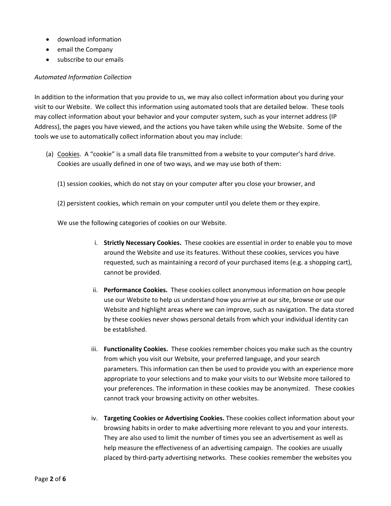- download information
- email the Company
- subscribe to our emails

#### *Automated Information Collection*

In addition to the information that you provide to us, we may also collect information about you during your visit to our Website. We collect this information using automated tools that are detailed below. These tools may collect information about your behavior and your computer system, such as your internet address (IP Address), the pages you have viewed, and the actions you have taken while using the Website. Some of the tools we use to automatically collect information about you may include:

- (a) Cookies. A "cookie" is a small data file transmitted from a website to your computer's hard drive. Cookies are usually defined in one of two ways, and we may use both of them:
	- (1) session cookies, which do not stay on your computer after you close your browser, and
	- (2) persistent cookies, which remain on your computer until you delete them or they expire.

We use the following categories of cookies on our Website.

- i. **Strictly Necessary Cookies.** These cookies are essential in order to enable you to move around the Website and use its features. Without these cookies, services you have requested, such as maintaining a record of your purchased items (e.g. a shopping cart), cannot be provided.
- ii. **Performance Cookies.** These cookies collect anonymous information on how people use our Website to help us understand how you arrive at our site, browse or use our Website and highlight areas where we can improve, such as navigation. The data stored by these cookies never shows personal details from which your individual identity can be established.
- iii. **Functionality Cookies.** These cookies remember choices you make such as the country from which you visit our Website, your preferred language, and your search parameters. This information can then be used to provide you with an experience more appropriate to your selections and to make your visits to our Website more tailored to your preferences. The information in these cookies may be anonymized. These cookies cannot track your browsing activity on other websites.
- iv. **Targeting Cookies or Advertising Cookies.** These cookies collect information about your browsing habits in order to make advertising more relevant to you and your interests. They are also used to limit the number of times you see an advertisement as well as help measure the effectiveness of an advertising campaign. The cookies are usually placed by third-party advertising networks. These cookies remember the websites you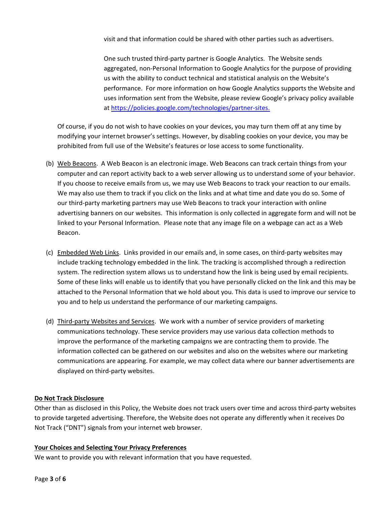visit and that information could be shared with other parties such as advertisers.

One such trusted third-party partner is Google Analytics. The Website sends aggregated, non-Personal Information to Google Analytics for the purpose of providing us with the ability to conduct technical and statistical analysis on the Website's performance. For more information on how Google Analytics supports the Website and uses information sent from the Website, please review Google's privacy policy available at [https://policies.google.com/technologies/partner-sites.](https://policies.google.com/technologies/partner-sites)

Of course, if you do not wish to have cookies on your devices, you may turn them off at any time by modifying your internet browser's settings. However, by disabling cookies on your device, you may be prohibited from full use of the Website's features or lose access to some functionality.

- (b) Web Beacons. A Web Beacon is an electronic image. Web Beacons can track certain things from your computer and can report activity back to a web server allowing us to understand some of your behavior. If you choose to receive emails from us, we may use Web Beacons to track your reaction to our emails. We may also use them to track if you click on the links and at what time and date you do so. Some of our third-party marketing partners may use Web Beacons to track your interaction with online advertising banners on our websites. This information is only collected in aggregate form and will not be linked to your Personal Information. Please note that any image file on a webpage can act as a Web Beacon.
- (c) Embedded Web Links. Links provided in our emails and, in some cases, on third-party websites may include tracking technology embedded in the link. The tracking is accomplished through a redirection system. The redirection system allows us to understand how the link is being used by email recipients. Some of these links will enable us to identify that you have personally clicked on the link and this may be attached to the Personal Information that we hold about you. This data is used to improve our service to you and to help us understand the performance of our marketing campaigns.
- (d) Third-party Websites and Services. We work with a number of service providers of marketing communications technology. These service providers may use various data collection methods to improve the performance of the marketing campaigns we are contracting them to provide. The information collected can be gathered on our websites and also on the websites where our marketing communications are appearing. For example, we may collect data where our banner advertisements are displayed on third-party websites.

## **Do Not Track Disclosure**

Other than as disclosed in this Policy, the Website does not track users over time and across third-party websites to provide targeted advertising. Therefore, the Website does not operate any differently when it receives Do Not Track ("DNT") signals from your internet web browser.

#### **Your Choices and Selecting Your Privacy Preferences**

We want to provide you with relevant information that you have requested.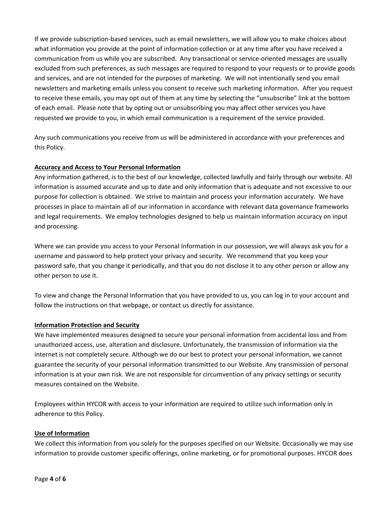If we provide subscription-based services, such as email newsletters, we will allow you to make choices about what information you provide at the point of information collection or at any time after you have received a communication from us while you are subscribed. Any transactional or service-oriented messages are usually excluded from such preferences, as such messages are required to respond to your requests or to provide goods and services, and are not intended for the purposes of marketing. We will not intentionally send you email newsletters and marketing emails unless you consent to receive such marketing information. After you request to receive these emails, you may opt out of them at any time by selecting the "unsubscribe" link at the bottom of each email. Please note that by opting out or unsubscribing you may affect other services you have requested we provide to you, in which email communication is a requirement of the service provided.

Any such communications you receive from us will be administered in accordance with your preferences and this Policy.

## **Accuracy and Access to Your Personal Information**

Any information gathered, is to the best of our knowledge, collected lawfully and fairly through our website. All information is assumed accurate and up to date and only information that is adequate and not excessive to our purpose for collection is obtained. We strive to maintain and process your information accurately. We have processes in place to maintain all of our information in accordance with relevant data governance frameworks and legal requirements. We employ technologies designed to help us maintain information accuracy on input and processing.

Where we can provide you access to your Personal Information in our possession, we will always ask you for a username and password to help protect your privacy and security. We recommend that you keep your password safe, that you change it periodically, and that you do not disclose it to any other person or allow any other person to use it.

To view and change the Personal Information that you have provided to us, you can log in to your account and follow the instructions on that webpage, or contact us directly for assistance.

#### **Information Protection and Security**

We have implemented measures designed to secure your personal information from accidental loss and from unauthorized access, use, alteration and disclosure. Unfortunately, the transmission of information via the internet is not completely secure. Although we do our best to protect your personal information, we cannot guarantee the security of your personal information transmitted to our Website. Any transmission of personal information is at your own risk. We are not responsible for circumvention of any privacy settings or security measures contained on the Website.

Employees within HYCOR with access to your information are required to utilize such information only in adherence to this Policy.

#### **Use of Information**

We collect this information from you solely for the purposes specified on our Website. Occasionally we may use information to provide customer specific offerings, online marketing, or for promotional purposes. HYCOR does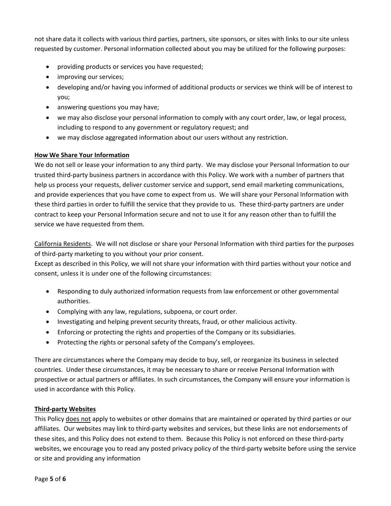not share data it collects with various third parties, partners, site sponsors, or sites with links to our site unless requested by customer. Personal information collected about you may be utilized for the following purposes:

- providing products or services you have requested;
- improving our services;
- developing and/or having you informed of additional products or services we think will be of interest to you;
- answering questions you may have;
- we may also disclose your personal information to comply with any court order, law, or legal process, including to respond to any government or regulatory request; and
- we may disclose aggregated information about our users without any restriction.

#### **How We Share Your Information**

We do not sell or lease your information to any third party. We may disclose your Personal Information to our trusted third-party business partners in accordance with this Policy. We work with a number of partners that help us process your requests, deliver customer service and support, send email marketing communications, and provide experiences that you have come to expect from us. We will share your Personal Information with these third parties in order to fulfill the service that they provide to us. These third-party partners are under contract to keep your Personal Information secure and not to use it for any reason other than to fulfill the service we have requested from them.

California Residents. We will not disclose or share your Personal Information with third parties for the purposes of third-party marketing to you without your prior consent.

Except as described in this Policy, we will not share your information with third parties without your notice and consent, unless it is under one of the following circumstances:

- Responding to duly authorized information requests from law enforcement or other governmental authorities.
- Complying with any law, regulations, subpoena, or court order.
- Investigating and helping prevent security threats, fraud, or other malicious activity.
- Enforcing or protecting the rights and properties of the Company or its subsidiaries.
- Protecting the rights or personal safety of the Company's employees.

There are circumstances where the Company may decide to buy, sell, or reorganize its business in selected countries. Under these circumstances, it may be necessary to share or receive Personal Information with prospective or actual partners or affiliates. In such circumstances, the Company will ensure your information is used in accordance with this Policy.

#### **Third-party Websites**

This Policy does not apply to websites or other domains that are maintained or operated by third parties or our affiliates. Our websites may link to third-party websites and services, but these links are not endorsements of these sites, and this Policy does not extend to them. Because this Policy is not enforced on these third-party websites, we encourage you to read any posted privacy policy of the third-party website before using the service or site and providing any information